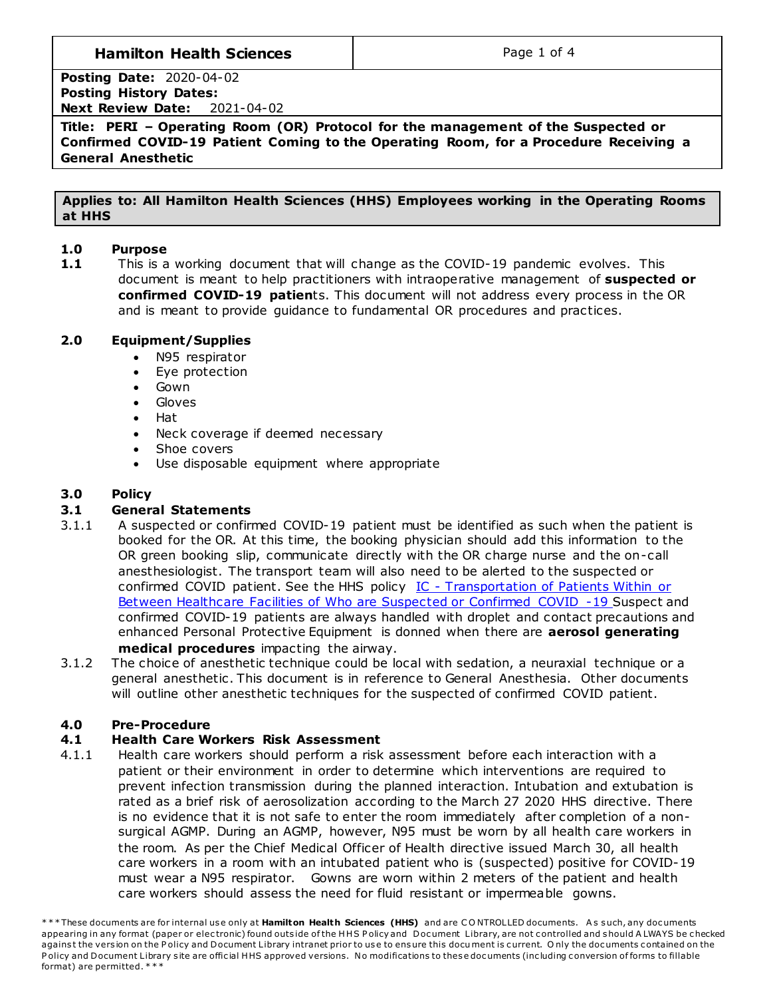## **Hamilton Health Sciences**  $\qquad$  **Page 1 of 4**

**Posting Date:** 2020-04-02 **Posting History Dates: Next Review Date:** 2021-04-02

**Title: PERI – Operating Room (OR) Protocol for the management of the Suspected or Confirmed COVID-19 Patient Coming to the Operating Room, for a Procedure Receiving a General Anesthetic**

#### **Applies to: All Hamilton Health Sciences (HHS) Employees working in the Operating Rooms at HHS**

#### **1.0 Purpose**

**1.1** This is a working document that will change as the COVID-19 pandemic evolves. This document is meant to help practitioners with intraoperative management of **suspected or confirmed COVID-19 patien**ts. This document will not address every process in the OR and is meant to provide guidance to fundamental OR procedures and practices.

### **2.0 Equipment/Supplies**

- N95 respirator
- Eye protection
- Gown
- Gloves
- Hat
- Neck coverage if deemed necessary
- Shoe covers
- Use disposable equipment where appropriate

### **3.0 Policy**

### **3.1 General Statements**

- 3.1.1 A suspected or confirmed COVID-19 patient must be identified as such when the patient is booked for the OR. At this time, the booking physician should add this information to the OR green booking slip, communicate directly with the OR charge nurse and the on-call anesthesiologist. The transport team will also need to be alerted to the suspected or confirmed COVID patient. See the HHS policy IC - Transportation of Patients Within or [Between Healthcare Facilities of Who are Suspected or Confirmed COVID -19](http://policy.hhsc.ca/Site_Published/hhsc/document_render.aspx?documentRender.IdType=6&documentRender.GenericField=&documentRender.Id=100159) Suspect and confirmed COVID-19 patients are always handled with droplet and contact precautions and enhanced Personal Protective Equipment is donned when there are **aerosol generating medical procedures** impacting the airway.
- 3.1.2 The choice of anesthetic technique could be local with sedation, a neuraxial technique or a general anesthetic . This document is in reference to General Anesthesia. Other documents will outline other anesthetic techniques for the suspected of confirmed COVID patient.

### **4.0 Pre-Procedure**

#### **4.1 Health Care Workers Risk Assessment**

4.1.1 Health care workers should perform a risk assessment before each interaction with a patient or their environment in order to determine which interventions are required to prevent infection transmission during the planned interaction. Intubation and extubation is rated as a brief risk of aerosolization according to the March 27 2020 HHS directive. There is no evidence that it is not safe to enter the room immediately after completion of a nonsurgical AGMP. During an AGMP, however, N95 must be worn by all health care workers in the room. As per the Chief Medical Officer of Health directive issued March 30, all health care workers in a room with an intubated patient who is (suspected) positive for COVID-19 must wear a N95 respirator. Gowns are worn within 2 meters of the patient and health care workers should assess the need for fluid resistant or impermeable gowns.

<sup>\*\*\*</sup> These documents are for internal use only at Hamilton Health Sciences (HHS) and are CONTROLLED documents. As such, any documents appearing in any format (paper or electronic) found outside of the HHS Policy and Document Library, are not controlled and should A LWAYS be checked against the version on the Policy and Document Library intranet prior to use to ensure this document is current. Only the documents contained on the Policy and Document Library site are official HHS approved versions. No modifications to these documents (including conversion of forms to fillable format) are permitted. \* \* \*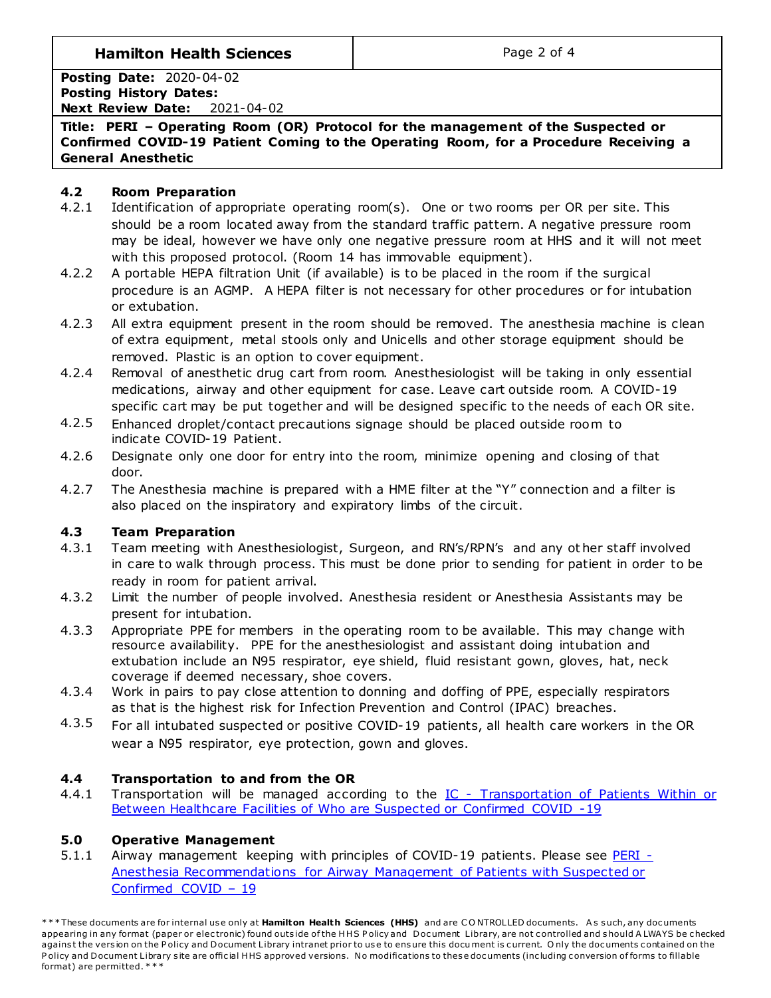## **Hamilton Health Sciences**  $\qquad$  **Page 2 of 4**

**Posting Date:** 2020-04-02 **Posting History Dates: Next Review Date:** 2021-04-02

**Title: PERI – Operating Room (OR) Protocol for the management of the Suspected or Confirmed COVID-19 Patient Coming to the Operating Room, for a Procedure Receiving a General Anesthetic**

### **4.2 Room Preparation**

- 4.2.1 Identification of appropriate operating room(s). One or two rooms per OR per site. This should be a room located away from the standard traffic pattern. A negative pressure room may be ideal, however we have only one negative pressure room at HHS and it will not meet with this proposed protocol. (Room 14 has immovable equipment).
- 4.2.2 A portable HEPA filtration Unit (if available) is to be placed in the room if the surgical procedure is an AGMP. A HEPA filter is not necessary for other procedures or for intubation or extubation.
- 4.2.3 All extra equipment present in the room should be removed. The anesthesia machine is clean of extra equipment, metal stools only and Unicells and other storage equipment should be removed. Plastic is an option to cover equipment.
- 4.2.4 Removal of anesthetic drug cart from room. Anesthesiologist will be taking in only essential medications, airway and other equipment for case. Leave cart outside room. A COVID-19 specific cart may be put together and will be designed spec ific to the needs of each OR site.
- 4.2.5 Enhanced droplet/contact precautions signage should be placed outside room to indicate COVID-19 Patient.
- 4.2.6 Designate only one door for entry into the room, minimize opening and closing of that door.
- 4.2.7 The Anesthesia machine is prepared with a HME filter at the "Y" connection and a filter is also placed on the inspiratory and expiratory limbs of the circuit.

### **4.3 Team Preparation**

- 4.3.1 Team meeting with Anesthesiologist, Surgeon, and RN's/RPN's and any ot her staff involved in care to walk through process. This must be done prior to sending for patient in order to be ready in room for patient arrival.
- 4.3.2 Limit the number of people involved. Anesthesia resident or Anesthesia Assistants may be present for intubation.
- 4.3.3 Appropriate PPE for members in the operating room to be available. This may change with resource availability. PPE for the anesthesiologist and assistant doing intubation and extubation include an N95 respirator, eye shield, fluid resistant gown, gloves, hat, neck coverage if deemed necessary, shoe covers.
- 4.3.4 Work in pairs to pay close attention to donning and doffing of PPE, especially respirators as that is the highest risk for Infection Prevention and Control (IPAC) breaches.
- 4.3.5 For all intubated suspected or positive COVID-19 patients, all health care workers in the OR wear a N95 respirator, eye protection, gown and gloves.

## **4.4 Transportation to and from the OR**

4.4.1 Transportation will be managed according to the IC - [Transportation of Patients Within or](http://policy.hhsc.ca/Site_Published/hhsc/document_render.aspx?documentRender.IdType=6&documentRender.GenericField=&documentRender.Id=100159)  [Between Healthcare Facilities of Who are Suspected or](http://policy.hhsc.ca/Site_Published/hhsc/document_render.aspx?documentRender.IdType=6&documentRender.GenericField=&documentRender.Id=100159) Confirmed COVID -19

### **5.0 Operative Management**

5.1.1 Airway management keeping with principles of COVID-19 patients. Please see [PERI -](http://policy.hhsc.ca/Site_Published/hhsc/document_render.aspx?documentRender.IdType=6&documentRender.GenericField=&documentRender.Id=100030) [Anesthesia Recommendations for Airway Management of Patients with Suspected or](http://policy.hhsc.ca/Site_Published/hhsc/document_render.aspx?documentRender.IdType=6&documentRender.GenericField=&documentRender.Id=100030)  [Confirmed COVID](http://policy.hhsc.ca/Site_Published/hhsc/document_render.aspx?documentRender.IdType=6&documentRender.GenericField=&documentRender.Id=100030) – 19

\*\*\* These documents are for internal use only at Hamilton Health Sciences (HHS) and are CONTROLLED documents. As such, any documents appearing in any format (paper or electronic) found outside of the HHS Policy and Document Library, are not controlled and should A LWAYS be checked against the version on the Policy and Document Library intranet prior to use to ensure this document is current. Only the documents contained on the Policy and Document Library site are official HHS approved versions. No modifications to these documents (including conversion of forms to fillable format) are permitted. \* \* \*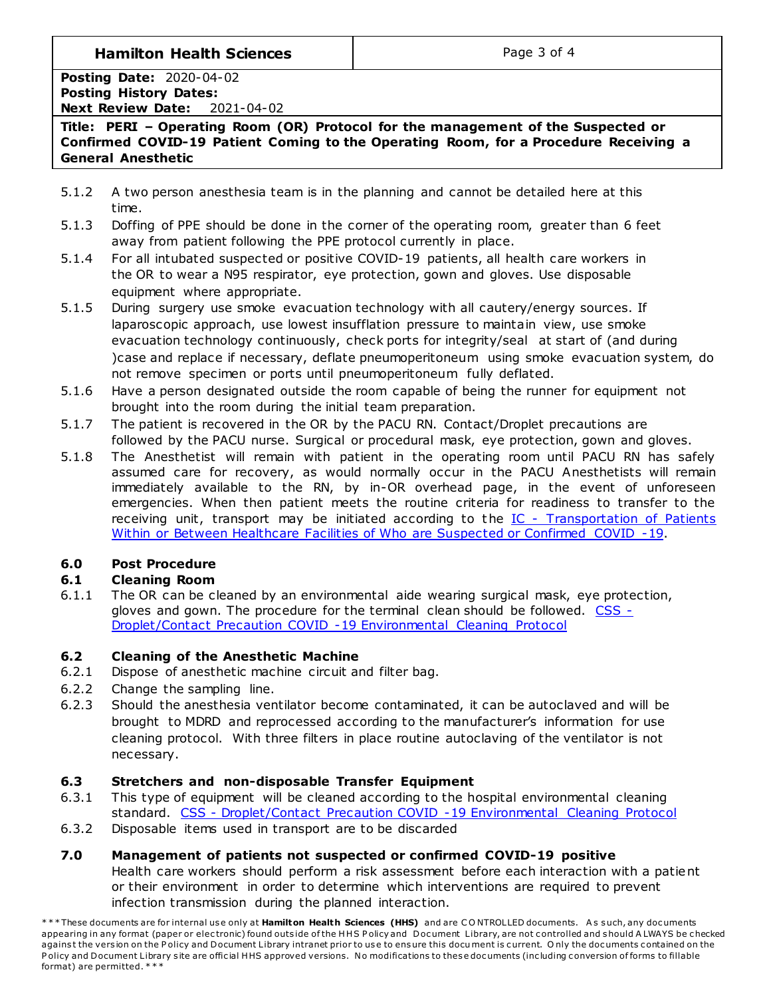**Hamilton Health Sciences**  $\qquad$  **Page 3 of 4** 

**Posting Date:** 2020-04-02 **Posting History Dates: Next Review Date:** 2021-04-02

**Title: PERI – Operating Room (OR) Protocol for the management of the Suspected or Confirmed COVID-19 Patient Coming to the Operating Room, for a Procedure Receiving a General Anesthetic**

- 5.1.2 A two person anesthesia team is in the planning and cannot be detailed here at this time.
- 5.1.3 Doffing of PPE should be done in the corner of the operating room, greater than 6 feet away from patient following the PPE protocol currently in place.
- 5.1.4 For all intubated suspected or positive COVID-19 patients, all health care workers in the OR to wear a N95 respirator, eye protection, gown and gloves. Use disposable equipment where appropriate.
- 5.1.5 During surgery use smoke evacuation technology with all cautery/energy sources. If laparoscopic approach, use lowest insufflation pressure to maintain view, use smoke evacuation technology continuously, check ports for integrity/seal at start of (and during )case and replace if necessary, deflate pneumoperitoneum using smoke evacuation system, do not remove specimen or ports until pneumoperitoneum fully deflated.
- 5.1.6 Have a person designated outside the room capable of being the runner for equipment not brought into the room during the initial team preparation.
- 5.1.7 The patient is recovered in the OR by the PACU RN. Contact/Droplet precautions are followed by the PACU nurse. Surgical or procedural mask, eye protection, gown and gloves.
- 5.1.8 The Anesthetist will remain with patient in the operating room until PACU RN has safely assumed care for recovery, as would normally occur in the PACU Anesthetists will remain immediately available to the RN, by in-OR overhead page, in the event of unforeseen emergencies. When then patient meets the routine criteria for readiness to transfer to the receiving unit, transport may be initiated according to the IC - Transportation of Patients [Within or Between Healthcare Facilities of Who are Suspected or Confirmed COVID -19.](http://policy.hhsc.ca/Site_Published/hhsc/document_render.aspx?documentRender.IdType=6&documentRender.GenericField=&documentRender.Id=100159)

# **6.0 Post Procedure**

## **6.1 Cleaning Room**

6.1.1 The OR can be cleaned by an environmental aide wearing surgical mask, eye protection, gloves and gown. The procedure for the terminal clean should be followed. [CSS -](http://policy.hhsc.ca/Site_Published/hhsc/document_render.aspx?documentRender.IdType=6&documentRender.GenericField=&documentRender.Id=100145) [Droplet/Contact Precaution COVID -19 Environmental Cleaning Protocol](http://policy.hhsc.ca/Site_Published/hhsc/document_render.aspx?documentRender.IdType=6&documentRender.GenericField=&documentRender.Id=100145)

## **6.2 Cleaning of the Anesthetic Machine**

- 6.2.1 Dispose of anesthetic machine circuit and filter bag.
- 6.2.2 Change the sampling line.
- 6.2.3 Should the anesthesia ventilator become contaminated, it can be autoclaved and will be brought to MDRD and reprocessed according to the manufacturer's information for use cleaning protocol. With three filters in place routine autoclaving of the ventilator is not necessary.

## **6.3 Stretchers and non-disposable Transfer Equipment**

- 6.3.1 This type of equipment will be cleaned according to the hospital environmental cleaning standard. CSS - [Droplet/Contact Precaution COVID -19 Environmental Cleaning Protocol](http://policy.hhsc.ca/Site_Published/hhsc/document_render.aspx?documentRender.IdType=6&documentRender.GenericField=&documentRender.Id=100145)
- 6.3.2 Disposable items used in transport are to be discarded
- **7.0 Management of patients not suspected or confirmed COVID-19 positive** Health care workers should perform a risk assessment before each interaction with a patient or their environment in order to determine which interventions are required to prevent infection transmission during the planned interaction.

\* \* \* These documents are for internal us e only at **Hamilton Health Sciences (HHS)** and are C O NTROLLED documents. A s s uch, any doc uments appearing in any format (paper or electronic) found outside of the HHS Policy and Document Library, are not controlled and should A LWAYS be checked against the version on the Policy and Document Library intranet prior to use to ensure this document is current. Only the documents contained on the Policy and Document Library site are official HHS approved versions. No modifications to these documents (including conversion of forms to fillable format) are permitted. \* \* \*